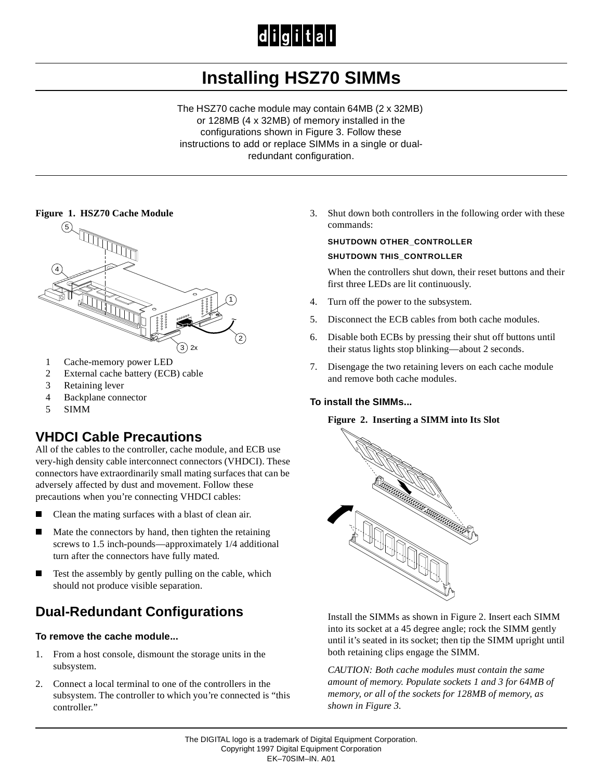# $|d|i|g|i|t|a|l$

# **Installing HSZ70 SIMMs**

The HSZ70 cache module may contain 64MB (2 x 32MB) or 128MB (4 x 32MB) of memory installed in the configurations shown in Figure 3. Follow these instructions to add or replace SIMMs in a single or dualredundant configuration.

#### **Figure 1. HSZ70 Cache Module**



- 1 Cache-memory power LED
- 2 External cache battery (ECB) cable
- 3 Retaining lever
- 4 Backplane connector
- 5 SIMM

### **VHDCI Cable Precautions**

All of the cables to the controller, cache module, and ECB use very-high density cable interconnect connectors (VHDCI). These connectors have extraordinarily small mating surfaces that can be adversely affected by dust and movement. Follow these precautions when you're connecting VHDCI cables:

- $\blacksquare$ Clean the mating surfaces with a blast of clean air.
- Г Mate the connectors by hand, then tighten the retaining screws to 1.5 inch-pounds—approximately 1/4 additional turn after the connectors have fully mated.
- $\blacksquare$  Test the assembly by gently pulling on the cable, which should not produce visible separation.

# **Dual-Redundant Configurations**

#### **To remove the cache module...**

- 1. From a host console, dismount the storage units in the subsystem.
- 2. Connect a local terminal to one of the controllers in the subsystem. The controller to which you're connected is "this controller."

3. Shut down both controllers in the following order with these commands:

#### **SHUTDOWN OTHER\_CONTROLLER SHUTDOWN THIS\_CONTROLLER**

When the controllers shut down, their reset buttons and their first three LEDs are lit continuously.

- 4. Turn off the power to the subsystem.
- 5. Disconnect the ECB cables from both cache modules.
- 6. Disable both ECBs by pressing their shut off buttons until their status lights stop blinking—about 2 seconds.
- 7. Disengage the two retaining levers on each cache module and remove both cache modules.

#### **To install the SIMMs...**

#### **Figure 2. Inserting a SIMM into Its Slot**



Install the SIMMs as shown in Figure 2. Insert each SIMM into its socket at a 45 degree angle; rock the SIMM gently until it's seated in its socket; then tip the SIMM upright until both retaining clips engage the SIMM.

*CAUTION: Both cache modules must contain the same amount of memory. Populate sockets 1 and 3 for 64MB of memory, or all of the sockets for 128MB of memory, as shown in Figure 3.*